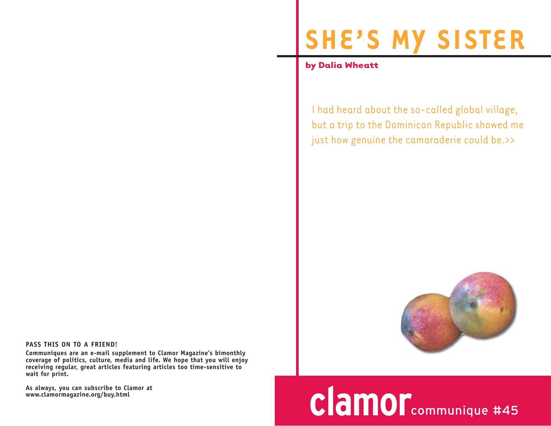## **SHE'S MY SISTER**

**by Dalia Wheatt**

I had heard about the so-called global village, but a trip to the Dominican Republic showed me just how genuine the camaraderie could be.>>



## **clamor**communique #45

**PASS THIS ON TO A FRIEND!**

**Communiques are an e-mail supplement to Clamor Magazine's bimonthly coverage of politics, culture, media and life. We hope that you will enjoy receiving regular, great articles featuring articles too time-sensitive to wait for print.** 

**As always, you can subscribe to Clamor at www.clamormagazine.org/buy.html**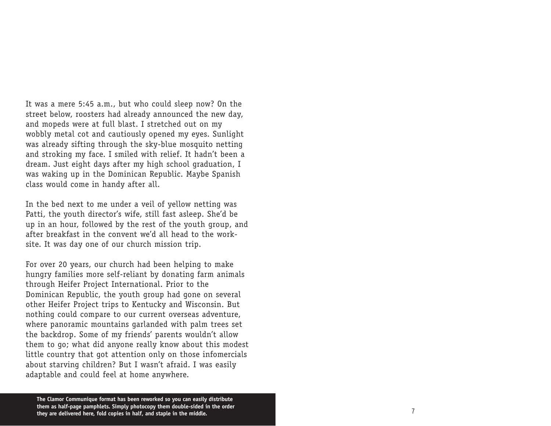It was a mere 5:45 a.m., but who could sleep now? On the street below, roosters had already announced the new day, and mopeds were at full blast. I stretched out on my wobbly metal cot and cautiously opened my eyes. Sunlight was already sifting through the sky-blue mosquito netting and stroking my face. I smiled with relief. It hadn't been a dream. Just eight days after my high school graduation, I was waking up in the Dominican Republic. Maybe Spanish class would come in handy after all.

In the bed next to me under a veil of yellow netting was Patti, the youth director's wife, still fast asleep. She'd be up in an hour, followed by the rest of the youth group, and after breakfast in the convent we'd all head to the worksite. It was day one of our church mission trip.

For over 20 years, our church had been helping to make hu ngry families more self-reliant by donating farm animals through Heifer Project International. Prior to the Dominican Republic, the youth group had gone on several other Heifer Project trips to Kentucky and Wisconsin. But nothing could compare to our current overseas adventure, where panoramic mountains garlanded with palm trees set the backdrop. Some of my friends' parents wouldn't allow them to go; what did anyone really know about this modest little country that got attention only on those infomercials about starving children? But I wasn't afraid. I was easily adaptable and could feel at home anywhere.

**The Clamor Communique format has been reworked so you can easily distribute them as half-page pamphlets. Simply photocopy them double-sided in the order they are delivered here, fold copies in half, and staple in the middle.**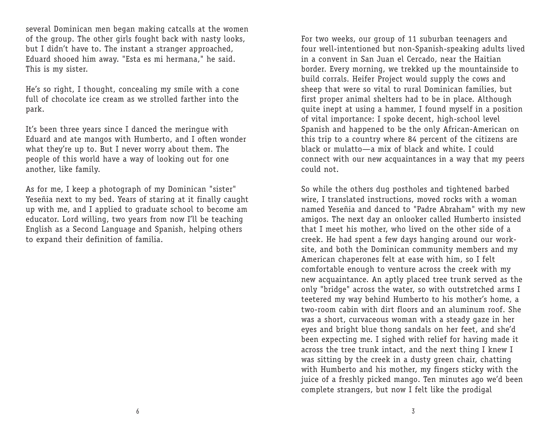several Dominican men began making catcalls at the women of the group. The other girls fought back with nasty looks, but I didn't have to. The instant a stranger approached, Eduard shooed him away. "Esta es mi hermana," he said. This is my sister.

He's so right, I thought, concealing my smile with a cone full of chocolate ice cream as we strolled farther into the park.

It's been three years since I danced the meringue with Eduard and ate mangos with Humberto, and I often wonder what they're up to. But I never worry about them. The people of this world have a way of looking out for one another, like family.

As for me, I keep a photograph of my Dominican "sister" Yeseñia next to my bed. Years of staring at it finally caught up with me, and I applied to graduate school to become am educator. Lord willing, two years from now I'll be teaching English as a Second Language and Spanish, helping others to expand their definition of familia.

For two weeks, our group of 11 suburban teenagers and four well-intentioned but non-Spanish-speaking adults lived in a convent in San Juan el Cercado, near the Haitian border. Every morning, we trekked up the mountainside to build corrals. Heifer Project would supply the cows and sheep that were so vital to rural Dominican families, but first proper animal shelters had to be in place. Although quite inept at using a hammer, I found myself in a position of vital importance: I spoke decent, high-school level Spanish and happened to be the only African-American on this trip to a country where 84 percent of the citizens are black or mulatto—a mix of black and white. I could connect with our new acquaintances in a way that my peers could not.

So while the others dug postholes and tightened barbed wire, I translated instructions, moved rocks with a woman named Yeseñia and danced to "Padre Abraham" with my new amigos. The next day an onlooker called Humberto insisted that I meet his mother, who lived on the other side of a creek. He had spent a few days hanging around our worksite, and both the Dominican community members and my American chaperones felt at ease with him, so I felt comfortable enough to venture across the creek with my new acquaintance. An aptly placed tree trunk served as the only "bridge" across the water, so with outstretched arms I teetered my way behind Humberto to his mother's home, a two-room cabin with dirt floors and an aluminum roof. She was a short, curvaceous woman with a steady gaze in her eyes and bright blue thong sandals on her feet, and she'd been expecting me. I sighed with relief for having made it across the tree trunk intact, and the next thing I knew I was sitting by the creek in a dusty green chair, chatting with Humberto and his mother, my fingers sticky with the juice of a freshly picked mango. Ten minutes ago we'd been complete strangers, but now I felt like the prodigal